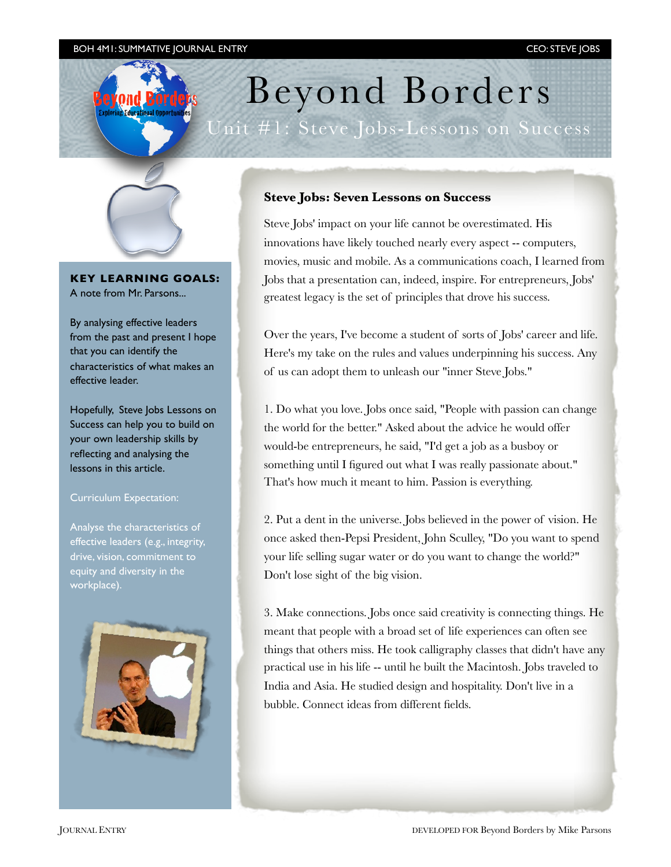# Beyond Borders

Unit #1: Steve Jobs-Lessons on Success



**KEY LEARNING GOALS:** A note from Mr. Parsons...

By analysing effective leaders from the past and present I hope that you can identify the characteristics of what makes an effective leader.

Hopefully, Steve Jobs Lessons on Success can help you to build on your own leadership skills by reflecting and analysing the lessons in this article.

### Curriculum Expectation:

Analyse the characteristics of effective leaders (e.g., integrity, drive, vision, commitment to equity and diversity in the workplace).



# **Steve Jobs: Seven Lessons on Success**

Steve Jobs' impact on your life cannot be overestimated. His innovations have likely touched nearly every aspect -- computers, movies, music and mobile. As a communications coach, I learned from Jobs that a presentation can, indeed, inspire. For entrepreneurs, Jobs' greatest legacy is the set of principles that drove his success.

Over the years, I've become a student of sorts of Jobs' career and life. Here's my take on the rules and values underpinning his success. Any of us can adopt them to unleash our "inner Steve Jobs."

1. Do what you love. Jobs once said, "People with passion can change the world for the better." Asked about the advice he would offer would-be entrepreneurs, he said, "I'd get a job as a busboy or something until I figured out what I was really passionate about." That's how much it meant to him. Passion is everything.

2. Put a dent in the universe. Jobs believed in the power of vision. He once asked then-Pepsi President, John Sculley, "Do you want to spend your life selling sugar water or do you want to change the world?" Don't lose sight of the big vision.

3. Make connections. Jobs once said creativity is connecting things. He meant that people with a broad set of life experiences can often see things that others miss. He took calligraphy classes that didn't have any practical use in his life -- until he built the Macintosh. Jobs traveled to India and Asia. He studied design and hospitality. Don't live in a bubble. Connect ideas from different fields.

JOURNAL ENTRY DEVELOPED FOR Beyond Borders by Mike Parsons